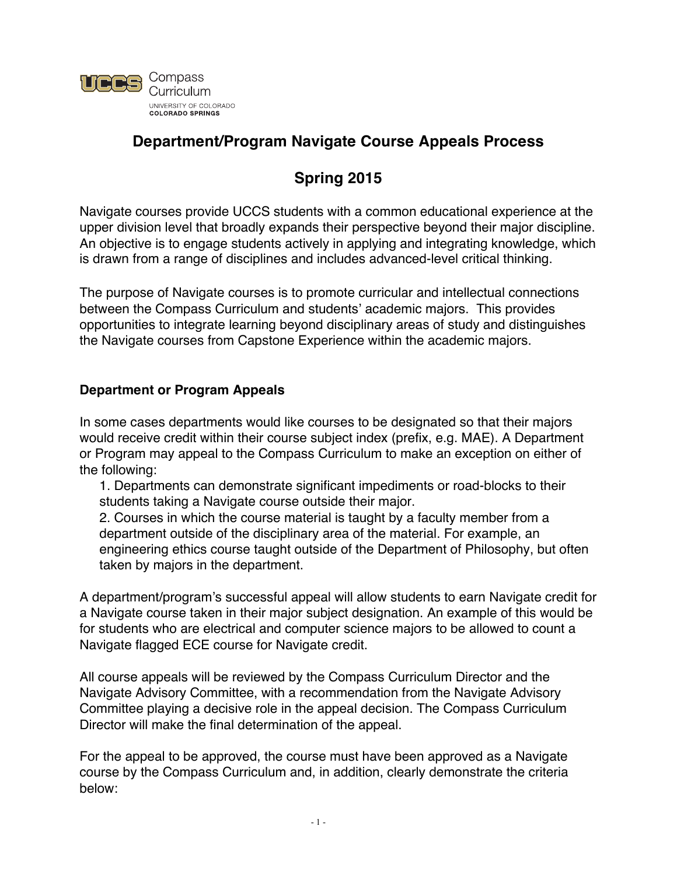

# **Department/Program Navigate Course Appeals Process**

# **Spring 2015**

Navigate courses provide UCCS students with a common educational experience at the upper division level that broadly expands their perspective beyond their major discipline. An objective is to engage students actively in applying and integrating knowledge, which is drawn from a range of disciplines and includes advanced-level critical thinking.

The purpose of Navigate courses is to promote curricular and intellectual connections between the Compass Curriculum and students' academic majors. This provides opportunities to integrate learning beyond disciplinary areas of study and distinguishes the Navigate courses from Capstone Experience within the academic majors.

### **Department or Program Appeals**

In some cases departments would like courses to be designated so that their majors would receive credit within their course subject index (prefix, e.g. MAE). A Department or Program may appeal to the Compass Curriculum to make an exception on either of the following:

1. Departments can demonstrate significant impediments or road-blocks to their students taking a Navigate course outside their major.

2. Courses in which the course material is taught by a faculty member from a department outside of the disciplinary area of the material. For example, an engineering ethics course taught outside of the Department of Philosophy, but often taken by majors in the department.

A department/program's successful appeal will allow students to earn Navigate credit for a Navigate course taken in their major subject designation. An example of this would be for students who are electrical and computer science majors to be allowed to count a Navigate flagged ECE course for Navigate credit.

All course appeals will be reviewed by the Compass Curriculum Director and the Navigate Advisory Committee, with a recommendation from the Navigate Advisory Committee playing a decisive role in the appeal decision. The Compass Curriculum Director will make the final determination of the appeal.

For the appeal to be approved, the course must have been approved as a Navigate course by the Compass Curriculum and, in addition, clearly demonstrate the criteria below: